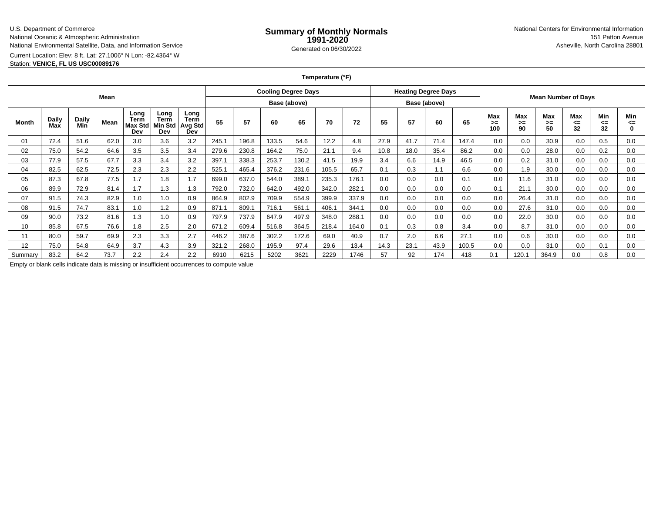#### U.S. Department of CommerceNational Oceanic & Atmospheric AdministrationNational Environmental Satellite, Data, and Information Service

e **Summary of Monthly Normals**<br> **1991-2020** 151 Patton Avenue **1991-2020** 1997-2020 e Generated on 06/30/2022 Asheville, North Carolina 28801 National Centers for Environmental Information151 Patton Avenue

Current Location: Elev: 8 ft. Lat: 27.1006° N Lon: -82.4364° W

Station: **VENICE, FL US USC00089176**

### **Temperature (°F)**

| Mean    |                     |              |      |                                |                                       |                                | <b>Cooling Degree Days</b> |       |       |       |       | <b>Heating Degree Days</b> |      |      |      |                            |                 |                 |                 |                 |                 |                       |
|---------|---------------------|--------------|------|--------------------------------|---------------------------------------|--------------------------------|----------------------------|-------|-------|-------|-------|----------------------------|------|------|------|----------------------------|-----------------|-----------------|-----------------|-----------------|-----------------|-----------------------|
|         |                     |              |      |                                |                                       |                                | Base (above)               |       |       |       |       | Base (above)               |      |      |      | <b>Mean Number of Days</b> |                 |                 |                 |                 |                 |                       |
| Month   | <b>Daily</b><br>Max | Daily<br>Min | Mean | Long<br>Term<br>Max Std<br>Dev | Long<br>Term<br><b>Min Std</b><br>Dev | Long<br>Term<br>Avg Std<br>Dev | 55                         | 57    | 60    | 65    | 70    | 72                         | 55   | 57   | 60   | 65                         | Max<br>➤<br>100 | Max<br>>=<br>90 | Max<br>>=<br>50 | Max<br>⋖⋍<br>32 | Min<br><=<br>32 | Min<br>⋖⋍<br>$\Omega$ |
| 01      | 72.4                | 51.6         | 62.0 | 3.0                            | 3.6                                   | 3.2                            | 245.1                      | 196.8 | 133.5 | 54.6  | 12.2  | 4.8                        | 27.9 | 41.7 | 71.4 | 147.4                      | 0.0             | 0.0             | 30.9            | 0.0             | 0.5             | 0.0                   |
| 02      | 75.0                | 54.2         | 64.6 | 3.5                            | 3.5                                   | 3.4                            | 279.6                      | 230.8 | 164.2 | 75.0  | 21.1  | 9.4                        | 10.8 | 18.0 | 35.4 | 86.2                       | 0.0             | 0.0             | 28.0            | 0.0             | 0.2             | 0.0                   |
| 03      | 77.9                | 57.5         | 67.7 | 3.3                            | 3.4                                   | 3.2                            | 397.1                      | 338.3 | 253.7 | 130.2 | 41.5  | 19.9                       | 3.4  | 6.6  | 14.9 | 46.5                       | 0.0             | 0.2             | 31.0            | 0.0             | 0.0             | 0.0                   |
| 04      | 82.5                | 62.5         | 72.5 | 2.3                            | 2.3                                   | 2.2                            | 525.1                      | 465.4 | 376.2 | 231.6 | 105.5 | 65.7                       | 0.1  | 0.3  | 1.1  | 6.6                        | 0.0             | 1.9             | 30.0            | 0.0             | 0.0             | 0.0                   |
| 05      | 87.3                | 67.8         | 77.5 | 1.7                            | 1.8                                   | 1.7                            | 699.0                      | 637.0 | 544.0 | 389.1 | 235.3 | 176.1                      | 0.0  | 0.0  | 0.0  | 0.1                        | 0.0             | 11.6            | 31.0            | 0.0             | 0.0             | 0.0                   |
| 06      | 89.9                | 72.9         | 81.4 | 1.7                            | 1.3                                   | 1.3                            | 792.0                      | 732.0 | 642.0 | 492.0 | 342.0 | 282.1                      | 0.0  | 0.0  | 0.0  | 0.0                        | 0.1             | 21.1            | 30.0            | 0.0             | 0.0             | 0.0                   |
| 07      | 91.5                | 74.3         | 82.9 | 1.0                            | 1.0                                   | 0.9                            | 864.9                      | 802.9 | 709.9 | 554.9 | 399.9 | 337.9                      | 0.0  | 0.0  | 0.0  | 0.0                        | 0.0             | 26.4            | 31.0            | 0.0             | 0.0             | 0.0                   |
| 08      | 91.5                | 74.7         | 83.1 | 1.0                            | 1.2                                   | 0.9                            | 871.1                      | 809.1 | 716.1 | 561.1 | 406.1 | 344.1                      | 0.0  | 0.0  | 0.0  | 0.0                        | 0.0             | 27.6            | 31.0            | 0.0             | 0.0             | 0.0                   |
| 09      | 90.0                | 73.2         | 81.6 | 1.3                            | 1.0                                   | 0.9                            | 797.9                      | 737.9 | 647.9 | 497.9 | 348.0 | 288.1                      | 0.0  | 0.0  | 0.0  | 0.0                        | 0.0             | 22.0            | 30.0            | 0.0             | 0.0             | 0.0                   |
| 10      | 85.8                | 67.5         | 76.6 | 1.8                            | 2.5                                   | 2.0                            | 671.2                      | 609.4 | 516.8 | 364.5 | 218.4 | 164.0                      | 0.1  | 0.3  | 0.8  | 3.4                        | 0.0             | 8.7             | 31.0            | 0.0             | 0.0             | 0.0                   |
| 11      | 80.0                | 59.7         | 69.9 | 2.3                            | 3.3                                   | 2.7                            | 446.2                      | 387.6 | 302.2 | 172.6 | 69.0  | 40.9                       | 0.7  | 2.0  | 6.6  | 27.1                       | 0.0             | 0.6             | 30.0            | 0.0             | 0.0             | 0.0                   |
| 12      | 75.0                | 54.8         | 64.9 | 3.7                            | 4.3                                   | 3.9                            | 321.2                      | 268.0 | 195.9 | 97.4  | 29.6  | 13.4                       | 14.3 | 23.1 | 43.9 | 100.5                      | 0.0             | 0.0             | 31.0            | 0.0             | 0.1             | 0.0                   |
| Summary | 83.2                | 64.2         | 73.7 | 2.2                            | 2.4                                   | 2.2                            | 6910                       | 6215  | 5202  | 3621  | 2229  | 1746                       | 57   | 92   | 174  | 418                        | 0.1             | 120.1           | 364.9           | 0.0             | 0.8             | 0.0                   |

Empty or blank cells indicate data is missing or insufficient occurrences to compute value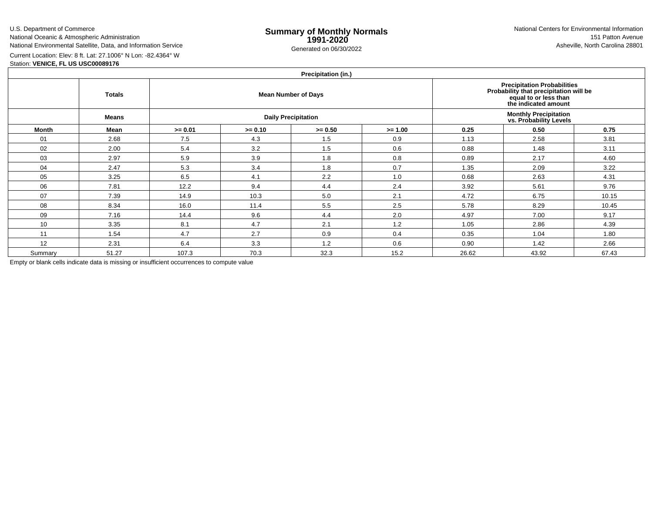U.S. Department of CommerceNational Oceanic & Atmospheric Administration

e **Summary of Monthly Normals**<br> **1991-2020** 151 Patton Avenue **1991-2020** 1997-2020 e Generated on 06/30/2022 Asheville, North Carolina 28801 National Centers for Environmental Information151 Patton Avenue

National Environmental Satellite, Data, and Information ServiceCurrent Location: Elev: 8 ft. Lat: 27.1006° N Lon: -82.4364° W

### Station: **VENICE, FL US USC00089176**

## **Precipitation (in.)**

|         | <b>Totals</b> |           | Precipitation Probabilities<br>Probability that precipitation will be<br>equal to or less than<br>the indicated amount |                            |           |                                                         |       |       |  |  |
|---------|---------------|-----------|------------------------------------------------------------------------------------------------------------------------|----------------------------|-----------|---------------------------------------------------------|-------|-------|--|--|
|         | Means         |           |                                                                                                                        | <b>Daily Precipitation</b> |           | <b>Monthly Precipitation<br/>vs. Probability Levels</b> |       |       |  |  |
| Month   | Mean          | $>= 0.01$ | $>= 0.10$                                                                                                              | $>= 0.50$                  | $>= 1.00$ | 0.25                                                    | 0.50  | 0.75  |  |  |
| 01      | 2.68          | 7.5       | 4.3                                                                                                                    | 1.5                        | 0.9       | 1.13                                                    | 2.58  | 3.81  |  |  |
| 02      | 2.00          | 5.4       | 3.2                                                                                                                    | 1.5                        | 0.6       | 0.88                                                    | 1.48  | 3.11  |  |  |
| 03      | 2.97          | 5.9       | 3.9                                                                                                                    | 1.8                        | 0.8       | 0.89                                                    | 2.17  | 4.60  |  |  |
| 04      | 2.47          | 5.3       | 3.4                                                                                                                    | 1.8                        | 0.7       | 1.35                                                    | 2.09  | 3.22  |  |  |
| 05      | 3.25          | 6.5       | 4.1                                                                                                                    | 2.2                        | 1.0       | 0.68                                                    | 2.63  | 4.31  |  |  |
| 06      | 7.81          | 12.2      | 9.4                                                                                                                    | 4.4                        | 2.4       | 3.92                                                    | 5.61  | 9.76  |  |  |
| 07      | 7.39          | 14.9      | 10.3                                                                                                                   | 5.0                        | 2.1       | 4.72                                                    | 6.75  | 10.15 |  |  |
| 08      | 8.34          | 16.0      | 11.4                                                                                                                   | 5.5                        | 2.5       | 5.78                                                    | 8.29  | 10.45 |  |  |
| 09      | 7.16          | 14.4      | 9.6                                                                                                                    | 4.4                        | 2.0       | 4.97                                                    | 7.00  | 9.17  |  |  |
| 10      | 3.35          | 8.1       | 4.7                                                                                                                    | 2.1                        | 1.2       | 1.05                                                    | 2.86  | 4.39  |  |  |
| 11      | 1.54          | 4.7       | 2.7                                                                                                                    | 0.9                        | 0.4       | 0.35                                                    | 1.04  | 1.80  |  |  |
| 12      | 2.31          | 6.4       | 3.3                                                                                                                    | 1.2                        | 0.6       | 0.90                                                    | 1.42  | 2.66  |  |  |
| Summary | 51.27         | 107.3     | 70.3                                                                                                                   | 32.3                       | 15.2      | 26.62                                                   | 43.92 | 67.43 |  |  |

Empty or blank cells indicate data is missing or insufficient occurrences to compute value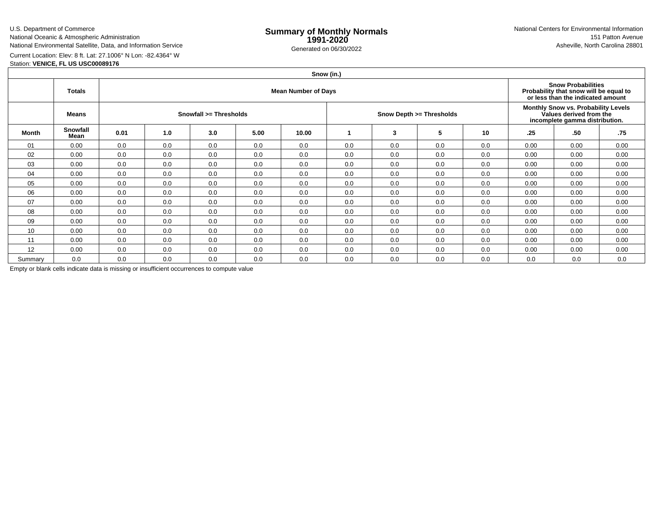#### U.S. Department of CommerceNational Oceanic & Atmospheric AdministrationNational Environmental Satellite, Data, and Information Service

e **Summary of Monthly Normals**<br> **1991-2020** 151 Patton Avenue **1991-2020** 1997-2020 e Generated on 06/30/2022 Asheville, North Carolina 28801 National Centers for Environmental Information151 Patton Avenue

Current Location: Elev: 8 ft. Lat: 27.1006° N Lon: -82.4364° W

### Station: **VENICE, FL US USC00089176**

# **Snow (in.)**

|              | <b>Totals</b>    | <b>Mean Number of Days</b> |     |     |      |       |     |     |                          |                                                                                                         |      | <b>Snow Probabilities</b><br>Probability that snow will be equal to<br>or less than the indicated amount |      |  |  |
|--------------|------------------|----------------------------|-----|-----|------|-------|-----|-----|--------------------------|---------------------------------------------------------------------------------------------------------|------|----------------------------------------------------------------------------------------------------------|------|--|--|
|              | Means            | Snowfall >= Thresholds     |     |     |      |       |     |     | Snow Depth >= Thresholds | <b>Monthly Snow vs. Probability Levels</b><br>Values derived from the<br>incomplete gamma distribution. |      |                                                                                                          |      |  |  |
| <b>Month</b> | Snowfall<br>Mean | 0.01                       | 1.0 | 3.0 | 5.00 | 10.00 |     | 3   | 5                        | 10                                                                                                      | .25  | .50                                                                                                      | .75  |  |  |
| 01           | 0.00             | 0.0                        | 0.0 | 0.0 | 0.0  | 0.0   | 0.0 | 0.0 | 0.0                      | 0.0                                                                                                     | 0.00 | 0.00                                                                                                     | 0.00 |  |  |
| 02           | 0.00             | 0.0                        | 0.0 | 0.0 | 0.0  | 0.0   | 0.0 | 0.0 | 0.0                      | 0.0                                                                                                     | 0.00 | 0.00                                                                                                     | 0.00 |  |  |
| 03           | 0.00             | 0.0                        | 0.0 | 0.0 | 0.0  | 0.0   | 0.0 | 0.0 | 0.0                      | 0.0                                                                                                     | 0.00 | 0.00                                                                                                     | 0.00 |  |  |
| 04           | 0.00             | 0.0                        | 0.0 | 0.0 | 0.0  | 0.0   | 0.0 | 0.0 | 0.0                      | 0.0                                                                                                     | 0.00 | 0.00                                                                                                     | 0.00 |  |  |
| 05           | 0.00             | 0.0                        | 0.0 | 0.0 | 0.0  | 0.0   | 0.0 | 0.0 | 0.0                      | 0.0                                                                                                     | 0.00 | 0.00                                                                                                     | 0.00 |  |  |
| 06           | 0.00             | 0.0                        | 0.0 | 0.0 | 0.0  | 0.0   | 0.0 | 0.0 | 0.0                      | 0.0                                                                                                     | 0.00 | 0.00                                                                                                     | 0.00 |  |  |
| 07           | 0.00             | 0.0                        | 0.0 | 0.0 | 0.0  | 0.0   | 0.0 | 0.0 | 0.0                      | 0.0                                                                                                     | 0.00 | 0.00                                                                                                     | 0.00 |  |  |
| 08           | 0.00             | 0.0                        | 0.0 | 0.0 | 0.0  | 0.0   | 0.0 | 0.0 | 0.0                      | 0.0                                                                                                     | 0.00 | 0.00                                                                                                     | 0.00 |  |  |
| 09           | 0.00             | 0.0                        | 0.0 | 0.0 | 0.0  | 0.0   | 0.0 | 0.0 | 0.0                      | 0.0                                                                                                     | 0.00 | 0.00                                                                                                     | 0.00 |  |  |
| 10           | 0.00             | 0.0                        | 0.0 | 0.0 | 0.0  | 0.0   | 0.0 | 0.0 | 0.0                      | 0.0                                                                                                     | 0.00 | 0.00                                                                                                     | 0.00 |  |  |
| 11           | 0.00             | 0.0                        | 0.0 | 0.0 | 0.0  | 0.0   | 0.0 | 0.0 | 0.0                      | 0.0                                                                                                     | 0.00 | 0.00                                                                                                     | 0.00 |  |  |
| 12           | 0.00             | 0.0                        | 0.0 | 0.0 | 0.0  | 0.0   | 0.0 | 0.0 | 0.0                      | 0.0                                                                                                     | 0.00 | 0.00                                                                                                     | 0.00 |  |  |
| Summary      | 0.0              | 0.0                        | 0.0 | 0.0 | 0.0  | 0.0   | 0.0 | 0.0 | 0.0                      | 0.0                                                                                                     | 0.0  | 0.0                                                                                                      | 0.0  |  |  |

Empty or blank cells indicate data is missing or insufficient occurrences to compute value